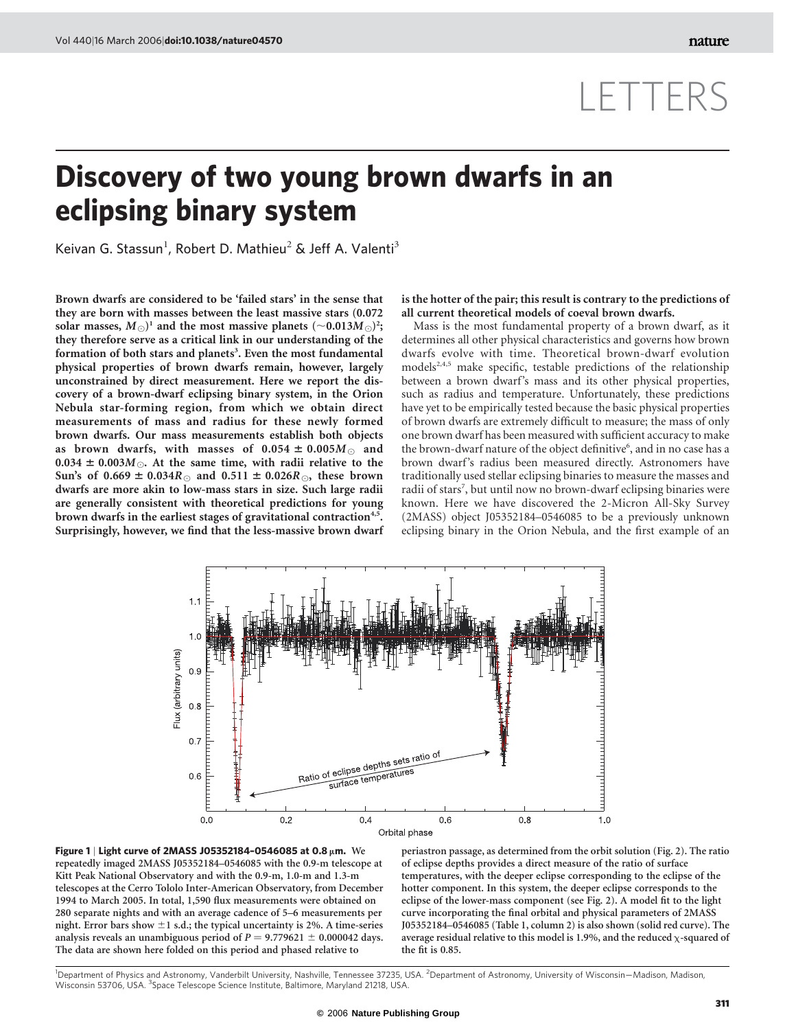# LETTERS

## Discovery of two young brown dwarfs in an eclipsing binary system

Keivan G. Stassun<sup>1</sup>, Robert D. Mathieu<sup>2</sup> & Jeff A. Valenti<sup>3</sup>

Brown dwarfs are considered to be 'failed stars' in the sense that they are born with masses between the least massive stars (0.072 solar masses,  $M_{\odot})^{\rm 1}$  and the most massive planets (~0.013 $M_{\odot})^{\rm 2}$ ; they therefore serve as a critical link in our understanding of the formation of both stars and planets<sup>3</sup>. Even the most fundamental physical properties of brown dwarfs remain, however, largely unconstrained by direct measurement. Here we report the discovery of a brown-dwarf eclipsing binary system, in the Orion Nebula star-forming region, from which we obtain direct measurements of mass and radius for these newly formed brown dwarfs. Our mass measurements establish both objects as brown dwarfs, with masses of  $0.054 \pm 0.005 M_{\odot}$  and  $0.034 \pm 0.003M_{\odot}$ . At the same time, with radii relative to the Sun's of  $0.669 \pm 0.034R_{\odot}$  and  $0.511 \pm 0.026R_{\odot}$ , these brown dwarfs are more akin to low-mass stars in size. Such large radii are generally consistent with theoretical predictions for young brown dwarfs in the earliest stages of gravitational contraction<sup>4,5</sup>. Surprisingly, however, we find that the less-massive brown dwarf is the hotter of the pair; this result is contrary to the predictions of all current theoretical models of coeval brown dwarfs.

Mass is the most fundamental property of a brown dwarf, as it determines all other physical characteristics and governs how brown dwarfs evolve with time. Theoretical brown-dwarf evolution models<sup>2,4,5</sup> make specific, testable predictions of the relationship between a brown dwarf's mass and its other physical properties, such as radius and temperature. Unfortunately, these predictions have yet to be empirically tested because the basic physical properties of brown dwarfs are extremely difficult to measure; the mass of only one brown dwarf has been measured with sufficient accuracy to make the brown-dwarf nature of the object definitive<sup>6</sup>, and in no case has a brown dwarf's radius been measured directly. Astronomers have traditionally used stellar eclipsing binaries to measure the masses and radii of stars<sup>7</sup>, but until now no brown-dwarf eclipsing binaries were known. Here we have discovered the 2-Micron All-Sky Survey (2MASS) object J05352184–0546085 to be a previously unknown eclipsing binary in the Orion Nebula, and the first example of an





periastron passage, as determined from the orbit solution (Fig. 2). The ratio of eclipse depths provides a direct measure of the ratio of surface temperatures, with the deeper eclipse corresponding to the eclipse of the hotter component. In this system, the deeper eclipse corresponds to the eclipse of the lower-mass component (see Fig. 2). A model fit to the light curve incorporating the final orbital and physical parameters of 2MASS J05352184–0546085 (Table 1, column 2) is also shown (solid red curve). The average residual relative to this model is 1.9%, and the reduced  $\chi$ -squared of the fit is 0.85.

<sup>1</sup>Department of Physics and Astronomy, Vanderbilt University, Nashville, Tennessee 37235, USA. <sup>2</sup>Department of Astronomy, University of Wisconsin–Madison, Madison, Wisconsin 53706, USA. <sup>3</sup>Space Telescope Science Institute, Baltimore, Maryland 21218, USA.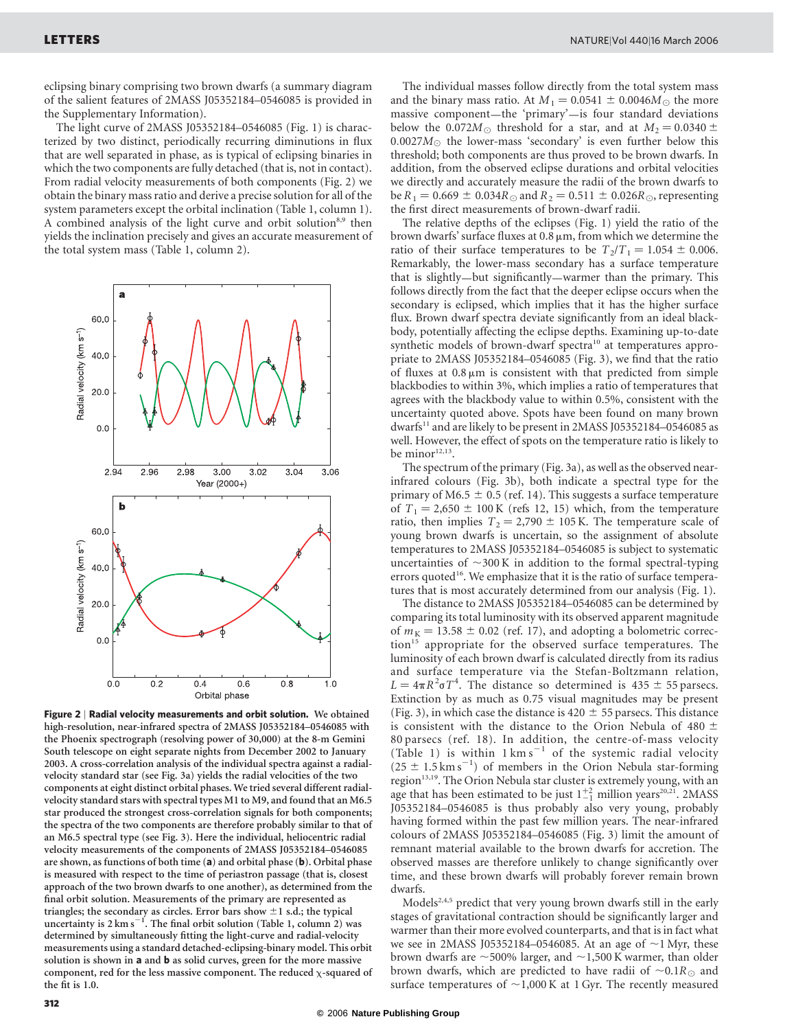eclipsing binary comprising two brown dwarfs (a summary diagram of the salient features of 2MASS J05352184–0546085 is provided in the Supplementary Information).

The light curve of 2MASS J05352184–0546085 (Fig. 1) is characterized by two distinct, periodically recurring diminutions in flux that are well separated in phase, as is typical of eclipsing binaries in which the two components are fully detached (that is, not in contact). From radial velocity measurements of both components (Fig. 2) we obtain the binary mass ratio and derive a precise solution for all of the system parameters except the orbital inclination (Table 1, column 1). A combined analysis of the light curve and orbit solution<sup>8,9</sup> then yields the inclination precisely and gives an accurate measurement of the total system mass (Table 1, column 2).



Figure 2 | Radial velocity measurements and orbit solution. We obtained high-resolution, near-infrared spectra of 2MASS J05352184–0546085 with the Phoenix spectrograph (resolving power of 30,000) at the 8-m Gemini South telescope on eight separate nights from December 2002 to January 2003. A cross-correlation analysis of the individual spectra against a radialvelocity standard star (see Fig. 3a) yields the radial velocities of the two components at eight distinct orbital phases. We tried several different radialvelocity standard stars with spectral types M1 to M9, and found that an M6.5 star produced the strongest cross-correlation signals for both components; the spectra of the two components are therefore probably similar to that of an M6.5 spectral type (see Fig. 3). Here the individual, heliocentric radial velocity measurements of the components of 2MASS J05352184–0546085 are shown, as functions of both time (a) and orbital phase (b). Orbital phase is measured with respect to the time of periastron passage (that is, closest approach of the two brown dwarfs to one another), as determined from the final orbit solution. Measurements of the primary are represented as triangles; the secondary as circles. Error bars show  $\pm 1$  s.d.; the typical uncertainty is  $2 \text{ km s}^{-1}$ . The final orbit solution (Table 1, column 2) was determined by simultaneously fitting the light-curve and radial-velocity measurements using a standard detached-eclipsing-binary model. This orbit solution is shown in a and **b** as solid curves, green for the more massive component, red for the less massive component. The reduced  $\chi$ -squared of the fit is 1.0.

The individual masses follow directly from the total system mass and the binary mass ratio. At  $M_1 = 0.0541 \pm 0.0046M_{\odot}$  the more massive component—the 'primary'—is four standard deviations below the 0.072 $M_{\odot}$  threshold for a star, and at  $M_2 = 0.0340 \pm 0.0340$  $0.0027M<sub>\odot</sub>$  the lower-mass 'secondary' is even further below this threshold; both components are thus proved to be brown dwarfs. In addition, from the observed eclipse durations and orbital velocities we directly and accurately measure the radii of the brown dwarfs to be  $R_1 = 0.669 \pm 0.034R_{\odot}$  and  $R_2 = 0.511 \pm 0.026R_{\odot}$ , representing the first direct measurements of brown-dwarf radii.

The relative depths of the eclipses (Fig. 1) yield the ratio of the brown dwarfs' surface fluxes at  $0.8 \mu m$ , from which we determine the ratio of their surface temperatures to be  $T_2/T_1 = 1.054 \pm 0.006$ . Remarkably, the lower-mass secondary has a surface temperature that is slightly—but significantly—warmer than the primary. This follows directly from the fact that the deeper eclipse occurs when the secondary is eclipsed, which implies that it has the higher surface flux. Brown dwarf spectra deviate significantly from an ideal blackbody, potentially affecting the eclipse depths. Examining up-to-date synthetic models of brown-dwarf spectra<sup>10</sup> at temperatures appropriate to 2MASS J05352184–0546085 (Fig. 3), we find that the ratio of fluxes at  $0.8 \mu m$  is consistent with that predicted from simple blackbodies to within 3%, which implies a ratio of temperatures that agrees with the blackbody value to within 0.5%, consistent with the uncertainty quoted above. Spots have been found on many brown dwarfs<sup>11</sup> and are likely to be present in 2MASS J05352184-0546085 as well. However, the effect of spots on the temperature ratio is likely to be minor<sup>12,13</sup>.

The spectrum of the primary (Fig. 3a), as well as the observed nearinfrared colours (Fig. 3b), both indicate a spectral type for the primary of M6.5  $\pm$  0.5 (ref. 14). This suggests a surface temperature of  $T_1 = 2{,}650 \pm 100$  K (refs 12, 15) which, from the temperature ratio, then implies  $T_2 = 2,790 \pm 105$  K. The temperature scale of young brown dwarfs is uncertain, so the assignment of absolute temperatures to 2MASS J05352184–0546085 is subject to systematic uncertainties of  $\sim$ 300 K in addition to the formal spectral-typing errors quoted<sup>16</sup>. We emphasize that it is the ratio of surface temperatures that is most accurately determined from our analysis (Fig. 1).

The distance to 2MASS J05352184–0546085 can be determined by comparing its total luminosity with its observed apparent magnitude of  $m<sub>K</sub> = 13.58 \pm 0.02$  (ref. 17), and adopting a bolometric correction<sup>15</sup> appropriate for the observed surface temperatures. The luminosity of each brown dwarf is calculated directly from its radius and surface temperature via the Stefan-Boltzmann relation,  $L = 4\pi R^2 \sigma T^4$ . The distance so determined is  $435 \pm 55$  parsecs. Extinction by as much as 0.75 visual magnitudes may be present (Fig. 3), in which case the distance is 420  $\pm$  55 parsecs. This distance is consistent with the distance to the Orion Nebula of 480  $\pm$ 80 parsecs (ref. 18). In addition, the centre-of-mass velocity (Table 1) is within  $1 \text{ km s}^{-1}$  of the systemic radial velocity  $(25 \pm 1.5 \text{ km s}^{-1})$  of members in the Orion Nebula star-forming region<sup>13,19</sup>. The Orion Nebula star cluster is extremely young, with an age that has been estimated to be just  $1^{+2}_{-1}$  million years<sup>20,21</sup>. 2MASS J05352184–0546085 is thus probably also very young, probably having formed within the past few million years. The near-infrared colours of 2MASS J05352184–0546085 (Fig. 3) limit the amount of remnant material available to the brown dwarfs for accretion. The observed masses are therefore unlikely to change significantly over time, and these brown dwarfs will probably forever remain brown dwarfs.

Models<sup>2,4,5</sup> predict that very young brown dwarfs still in the early stages of gravitational contraction should be significantly larger and warmer than their more evolved counterparts, and that is in fact what we see in 2MASS J05352184–0546085. At an age of  $\sim$ 1 Myr, these brown dwarfs are  $\sim$ 500% larger, and  $\sim$ 1,500 K warmer, than older brown dwarfs, which are predicted to have radii of  $\sim 0.1R_{\odot}$  and surface temperatures of  $\sim$ 1,000 K at 1 Gyr. The recently measured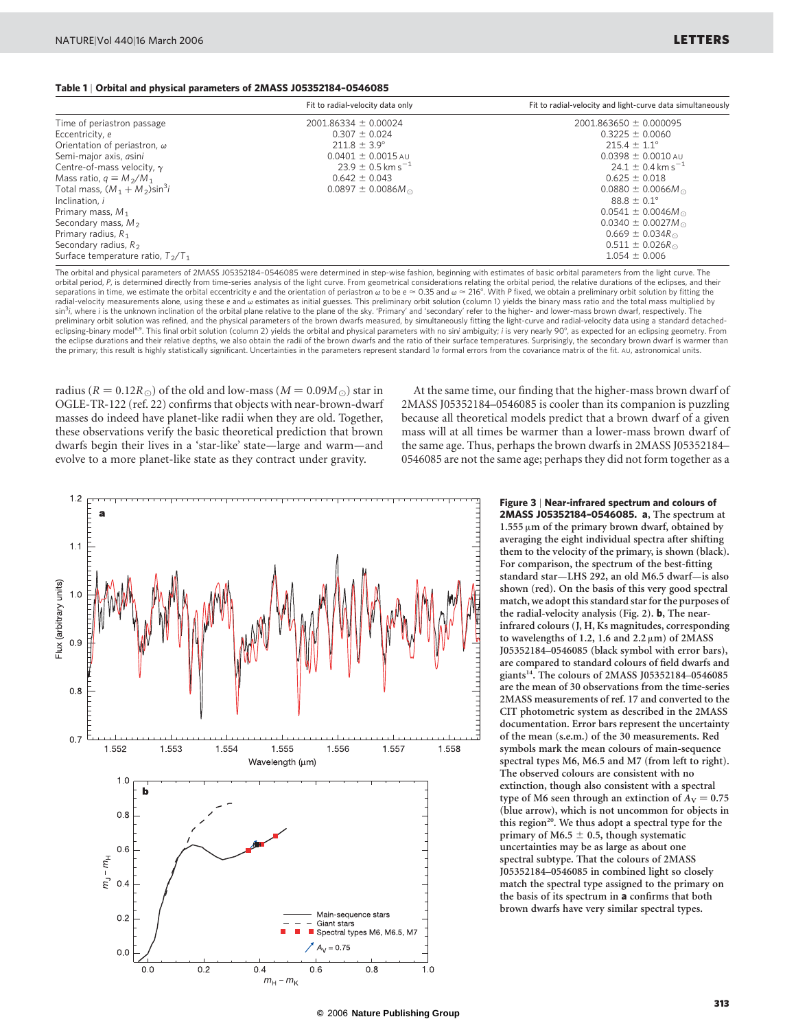#### Table 1 | Orbital and physical parameters of 2MASS J05352184–0546085

|                                              | Fit to radial-velocity data only  | Fit to radial-velocity and light-curve data simultaneously |
|----------------------------------------------|-----------------------------------|------------------------------------------------------------|
| Time of periastron passage                   | $2001.86334 \pm 0.00024$          | $2001.863650 \pm 0.000095$                                 |
| Eccentricity, e                              | $0.307 \pm 0.024$                 | $0.3225 \pm 0.0060$                                        |
| Orientation of periastron, $\omega$          | $211.8 \pm 3.9^{\circ}$           | $215.4 \pm 1.1^{\circ}$                                    |
| Semi-major axis, asini                       | $0.0401 \pm 0.0015$ AU            | $0.0398 \pm 0.0010$ AU                                     |
| Centre-of-mass velocity, $\gamma$            | $23.9 \pm 0.5$ km s <sup>-1</sup> | $24.1 \pm 0.4$ km s <sup>-1</sup>                          |
| Mass ratio, $q \equiv M_2/M_1$               | $0.642 \pm 0.043$                 | $0.625 \pm 0.018$                                          |
| Total mass, $(M_1 + M_2)$ sin <sup>3</sup> i | $0.0897 \pm 0.0086 M_{\odot}$     | $0.0880 \pm 0.0066 M_{\odot}$                              |
| Inclination, i                               |                                   | $88.8 \pm 0.1^{\circ}$                                     |
| Primary mass, $M_1$                          |                                   | $0.0541 \pm 0.0046 M_{\odot}$                              |
| Secondary mass, $M_2$                        |                                   | $0.0340 \pm 0.0027 M_{\odot}$                              |
| Primary radius, $R_1$                        |                                   | $0.669 \pm 0.034 R_{\odot}$                                |
| Secondary radius, $R_2$                      |                                   | $0.511 \pm 0.026 R_{\odot}$                                |
| Surface temperature ratio, $T_2/T_1$         |                                   | $1.054 \pm 0.006$                                          |

The orbital and physical parameters of 2MASS J05352184–0546085 were determined in step-wise fashion, beginning with estimates of basic orbital parameters from the light curve. The orbital period, P, is determined directly from time-series analysis of the light curve. From geometrical considerations relating the orbital period, the relative durations of the eclipses, and their separations in time, we estimate the orbital eccentricity e and the orientation of periastron  $\omega$  to be  $e \approx 0.35$  and  $\omega \approx 216^{\circ}$ . With P fixed, we obtain a preliminary orbit solution by fitting the radial-velocity measurements alone, using these e and  $\omega$  estimates as initial guesses. This preliminary orbit solution (column 1) yields the binary mass ratio and the total mass multiplied by sin<sup>3</sup>i, where i is the unknown inclination of the orbital plane relative to the plane of the sky. 'Primary' and 'secondary' refer to the higher- and lower-mass brown dwarf, respectively. The preliminary orbit solution was refined, and the physical parameters of the brown dwarfs measured, by simultaneously fitting the light-curve and radial-velocity data using a standard detachedeclipsing-binary model<sup>8.9</sup>. This final orbit solution (column 2) yields the orbital and physical parameters with no sini ambiguity; i is very nearly 90°, as expected for an eclipsing geometry. From the eclipse durations and their relative depths, we also obtain the radii of the brown dwarfs and the ratio of their surface temperatures. Surprisingly, the secondary brown dwarf is warmer than the primary; this result is highly statistically significant. Uncertainties in the parameters represent standard 1o formal errors from the covariance matrix of the fit. AU, astronomical units

radius ( $R = 0.12R_{\odot}$ ) of the old and low-mass ( $M = 0.09M_{\odot}$ ) star in OGLE-TR-122 (ref. 22) confirms that objects with near-brown-dwarf masses do indeed have planet-like radii when they are old. Together, these observations verify the basic theoretical prediction that brown dwarfs begin their lives in a 'star-like' state—large and warm—and evolve to a more planet-like state as they contract under gravity.

At the same time, our finding that the higher-mass brown dwarf of 2MASS J05352184–0546085 is cooler than its companion is puzzling because all theoretical models predict that a brown dwarf of a given mass will at all times be warmer than a lower-mass brown dwarf of the same age. Thus, perhaps the brown dwarfs in 2MASS J05352184– 0546085 are not the same age; perhaps they did not form together as a



### Figure 3 | Near-infrared spectrum and colours of

2MASS J05352184–0546085. a, The spectrum at  $1.555 \,\mu m$  of the primary brown dwarf, obtained by averaging the eight individual spectra after shifting them to the velocity of the primary, is shown (black). For comparison, the spectrum of the best-fitting standard star—LHS 292, an old M6.5 dwarf—is also shown (red). On the basis of this very good spectral match, we adopt this standard star for the purposes of the radial-velocity analysis (Fig. 2). **b**, The nearinfrared colours (J, H, Ks magnitudes, corresponding to wavelengths of 1.2, 1.6 and  $2.2 \,\mu\text{m}$ ) of 2MASS J05352184–0546085 (black symbol with error bars), are compared to standard colours of field dwarfs and giants<sup>14</sup>. The colours of 2MASS J05352184-0546085 are the mean of 30 observations from the time-series 2MASS measurements of ref. 17 and converted to the CIT photometric system as described in the 2MASS documentation. Error bars represent the uncertainty of the mean (s.e.m.) of the 30 measurements. Red symbols mark the mean colours of main-sequence spectral types M6, M6.5 and M7 (from left to right). The observed colours are consistent with no extinction, though also consistent with a spectral type of M6 seen through an extinction of  $A_V = 0.75$ (blue arrow), which is not uncommon for objects in this region<sup>20</sup>. We thus adopt a spectral type for the primary of M6.5  $\pm$  0.5, though systematic uncertainties may be as large as about one spectral subtype. That the colours of 2MASS J05352184–0546085 in combined light so closely match the spectral type assigned to the primary on the basis of its spectrum in a confirms that both brown dwarfs have very similar spectral types.